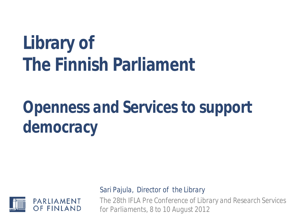#### **Library of The Finnish Parliament**

#### *Openness and Services to support democracy*



*Sari Pajula, Director of the Library* 

*The 28th IFLA Pre Conference of Library and Research Services for Parliaments, 8 to 10 August 2012*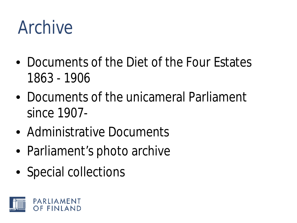#### Archive

- Documents of the Diet of the Four Estates 1863 - 1906
- Documents of the unicameral Parliament since 1907-
- Administrative Documents
- Parliament's photo archive
- Special collections

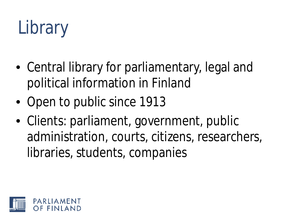

- Central library for parliamentary, legal and political information in Finland
- Open to public since 1913
- Clients: parliament, government, public administration, courts, citizens, researchers, libraries, students, companies

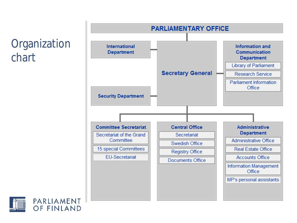#### Organization chart



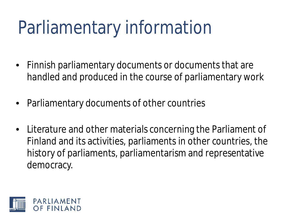### Parliamentary information

- Finnish parliamentary documents or documents that are handled and produced in the course of parliamentary work
- Parliamentary documents of other countries
- Literature and other materials concerning the Parliament of Finland and its activities, parliaments in other countries, the history of parliaments, parliamentarism and representative democracy.

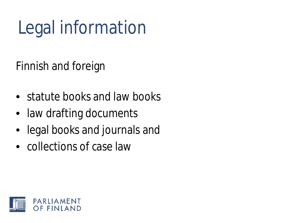## Legal information

Finnish and foreign

- statute books and law books
- law drafting documents
- legal books and journals and
- collections of case law

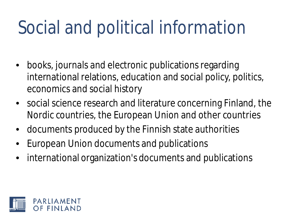#### Social and political information

- books, journals and electronic publications regarding international relations, education and social policy, politics, economics and social history
- social science research and literature concerning Finland, the Nordic countries, the European Union and other countries
- documents produced by the Finnish state authorities
- European Union documents and publications
- international organization's documents and publications

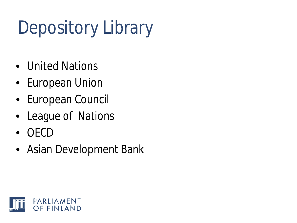## Depository Library

- United Nations
- European Union
- European Council
- League of Nations
- OECD
- Asian Development Bank

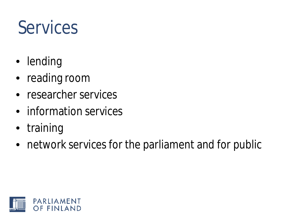#### Services

- lending
- reading room
- researcher services
- information services
- training
- network services for the parliament and for public

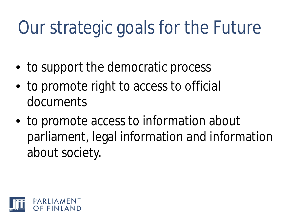### Our strategic goals for the Future

- to support the democratic process
- to promote right to access to official documents
- to promote access to information about parliament, legal information and information about society.

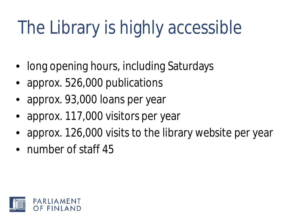## The Library is highly accessible

- long opening hours, including Saturdays
- approx. 526,000 publications
- approx. 93,000 loans per year
- approx. 117,000 visitors per year
- approx. 126,000 visits to the library website per year
- number of staff 45

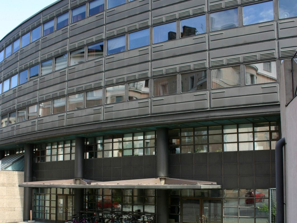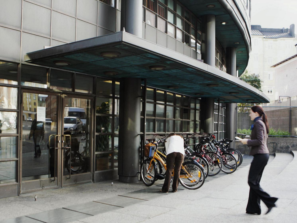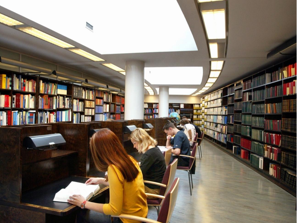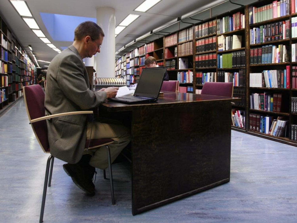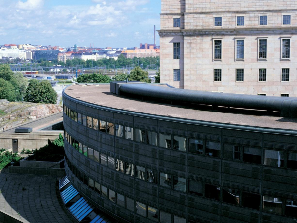